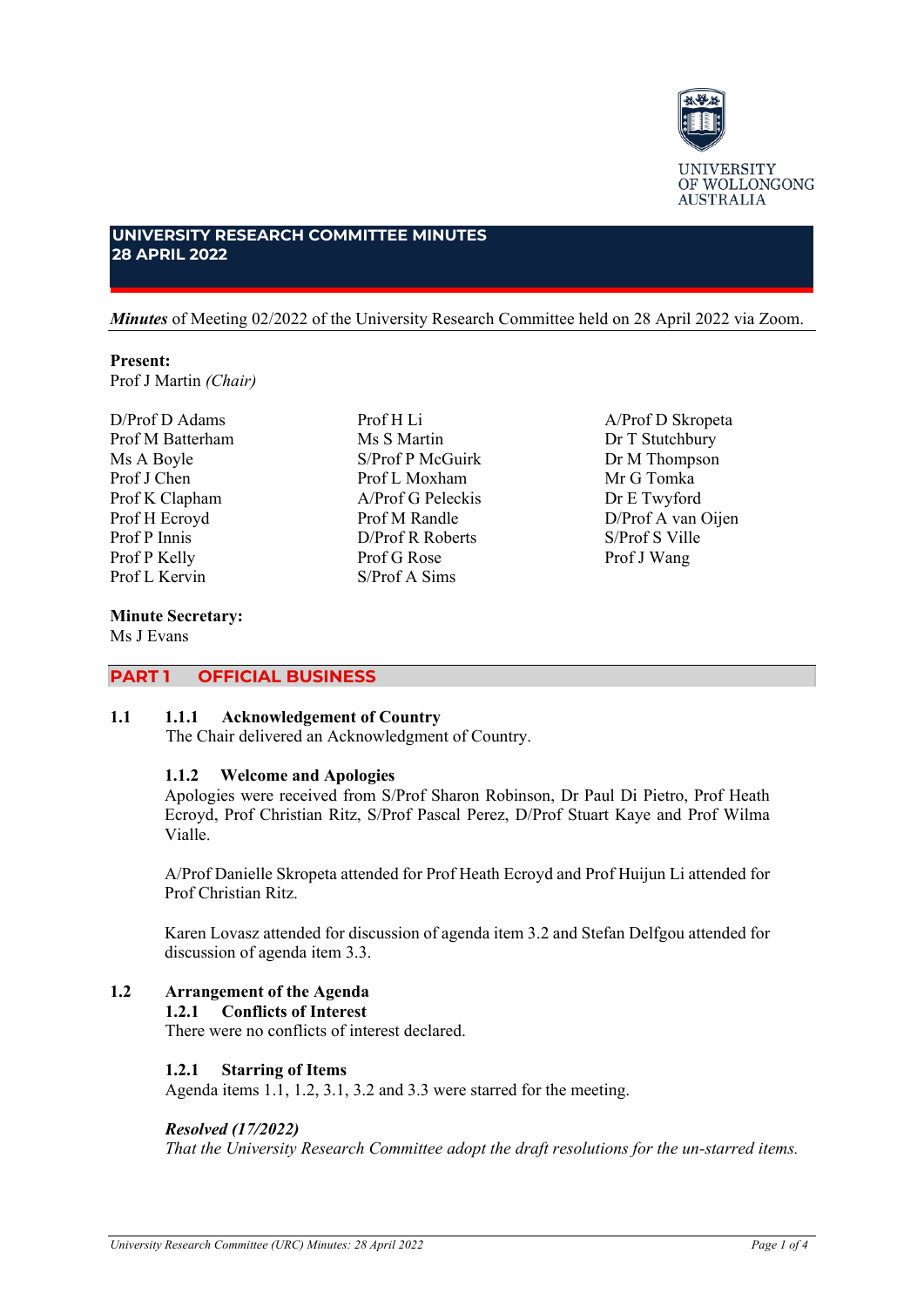

A/Prof D Skropeta Dr T Stutchbury Dr M Thompson Mr G Tomka Dr E Twyford D/Prof A van Oijen S/Prof S Ville Prof J Wang

# **UNIVERSITY RESEARCH COMMITTEE MINUTES 28 APRIL 2022**

*Minutes* of Meeting 02/2022 of the University Research Committee held on 28 April 2022 via Zoom.

Prof H Li Ms S Martin S/Prof P McGuirk Prof L Moxham A/Prof G Peleckis Prof M Randle D/Prof R Roberts Prof G Rose S/Prof A Sims

# **Present:** Prof J Martin *(Chair)*

D/Prof D Adams Prof M Batterham Ms A Boyle Prof J Chen Prof K Clapham Prof H Ecroyd Prof P Innis Prof P Kelly Prof L Kervin

# **Minute Secretary:**

Ms J Evans

# **PART 1 OFFICIAL BUSINESS**

#### **1.1 1.1.1 Acknowledgement of Country**

The Chair delivered an Acknowledgment of Country.

#### **1.1.2 Welcome and Apologies**

Apologies were received from S/Prof Sharon Robinson, Dr Paul Di Pietro, Prof Heath Ecroyd, Prof Christian Ritz, S/Prof Pascal Perez, D/Prof Stuart Kaye and Prof Wilma Vialle.

A/Prof Danielle Skropeta attended for Prof Heath Ecroyd and Prof Huijun Li attended for Prof Christian Ritz.

Karen Lovasz attended for discussion of agenda item 3.2 and Stefan Delfgou attended for discussion of agenda item 3.3.

# **1.2 Arrangement of the Agenda**

#### **1.2.1 Conflicts of Interest**

There were no conflicts of interest declared.

#### **1.2.1 Starring of Items**

Agenda items 1.1, 1.2, 3.1, 3.2 and 3.3 were starred for the meeting.

#### *Resolved (17/2022)*

*That the University Research Committee adopt the draft resolutions for the un-starred items.*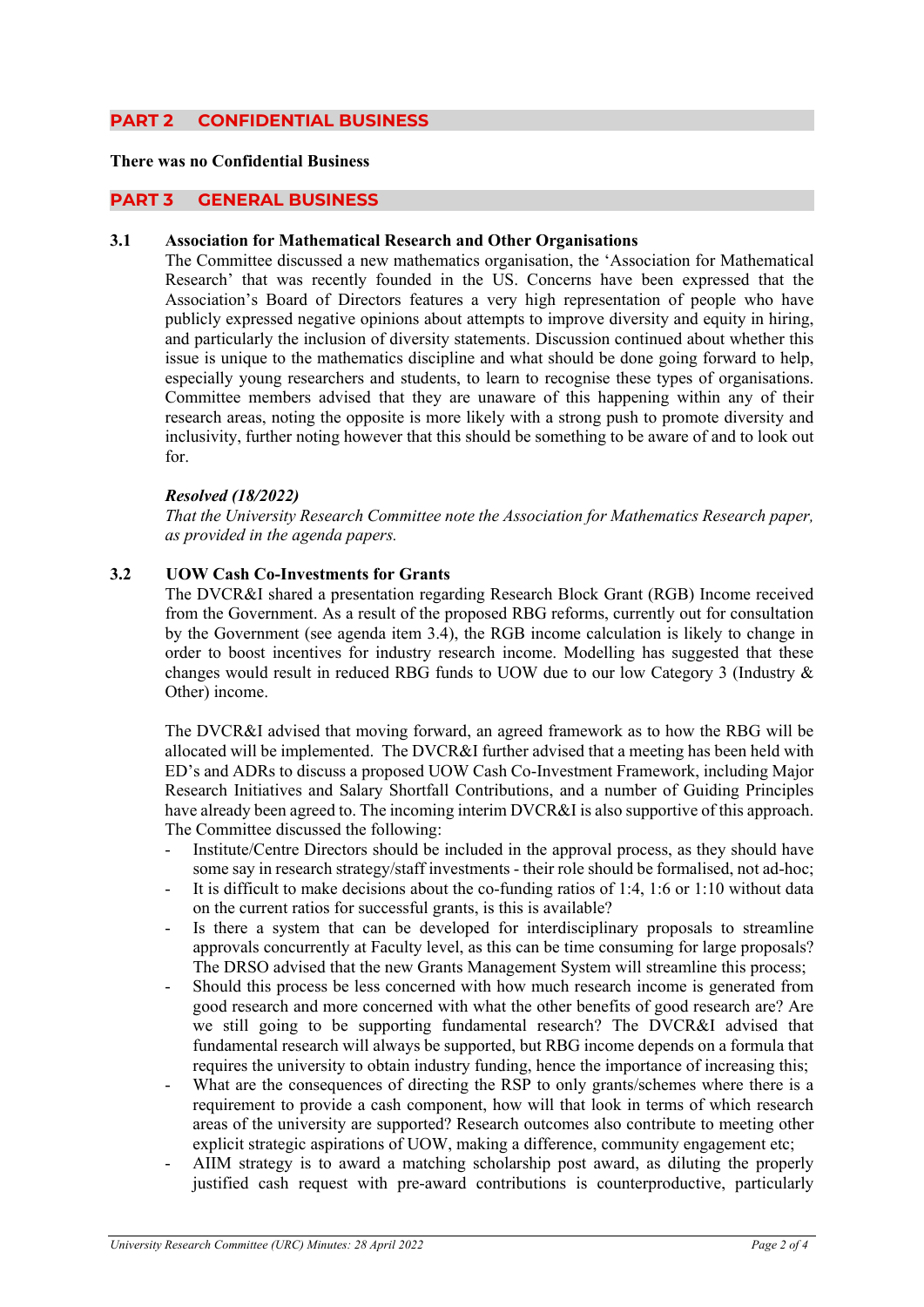# **PART 2 CONFIDENTIAL BUSINESS**

# **There was no Confidential Business**

#### **PART 3 GENERAL BUSINESS**

#### **3.1 Association for Mathematical Research and Other Organisations**

The Committee discussed a new mathematics organisation, the 'Association for Mathematical Research' that was recently founded in the US. Concerns have been expressed that the Association's Board of Directors features a very high representation of people who have publicly expressed negative opinions about attempts to improve diversity and equity in hiring, and particularly the inclusion of diversity statements. Discussion continued about whether this issue is unique to the mathematics discipline and what should be done going forward to help, especially young researchers and students, to learn to recognise these types of organisations. Committee members advised that they are unaware of this happening within any of their research areas, noting the opposite is more likely with a strong push to promote diversity and inclusivity, further noting however that this should be something to be aware of and to look out for.

#### *Resolved (18/2022)*

*That the University Research Committee note the Association for Mathematics Research paper, as provided in the agenda papers.*

# **3.2 UOW Cash Co-Investments for Grants**

The DVCR&I shared a presentation regarding Research Block Grant (RGB) Income received from the Government. As a result of the proposed RBG reforms, currently out for consultation by the Government (see agenda item 3.4), the RGB income calculation is likely to change in order to boost incentives for industry research income. Modelling has suggested that these changes would result in reduced RBG funds to UOW due to our low Category 3 (Industry & Other) income.

The DVCR&I advised that moving forward, an agreed framework as to how the RBG will be allocated will be implemented. The DVCR&I further advised that a meeting has been held with ED's and ADRs to discuss a proposed UOW Cash Co-Investment Framework, including Major Research Initiatives and Salary Shortfall Contributions, and a number of Guiding Principles have already been agreed to. The incoming interim DVCR&I is also supportive of this approach. The Committee discussed the following:

- Institute/Centre Directors should be included in the approval process, as they should have some say in research strategy/staff investments - their role should be formalised, not ad-hoc;
- It is difficult to make decisions about the co-funding ratios of 1:4, 1:6 or 1:10 without data on the current ratios for successful grants, is this is available?
- Is there a system that can be developed for interdisciplinary proposals to streamline approvals concurrently at Faculty level, as this can be time consuming for large proposals? The DRSO advised that the new Grants Management System will streamline this process;
- Should this process be less concerned with how much research income is generated from good research and more concerned with what the other benefits of good research are? Are we still going to be supporting fundamental research? The DVCR&I advised that fundamental research will always be supported, but RBG income depends on a formula that requires the university to obtain industry funding, hence the importance of increasing this;
- What are the consequences of directing the RSP to only grants/schemes where there is a requirement to provide a cash component, how will that look in terms of which research areas of the university are supported? Research outcomes also contribute to meeting other explicit strategic aspirations of UOW, making a difference, community engagement etc;
- AIIM strategy is to award a matching scholarship post award, as diluting the properly justified cash request with pre-award contributions is counterproductive, particularly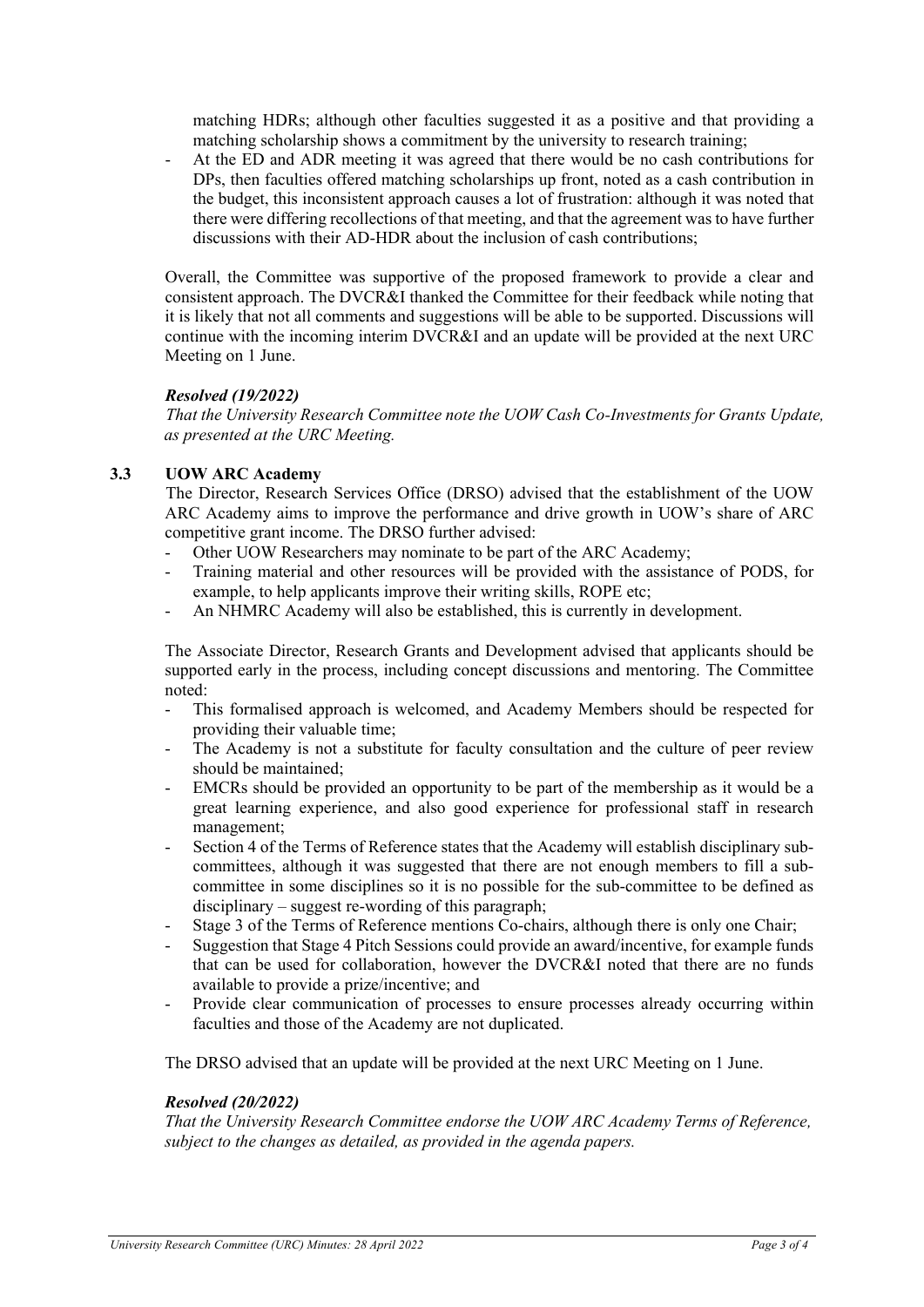matching HDRs; although other faculties suggested it as a positive and that providing a matching scholarship shows a commitment by the university to research training;

- At the ED and ADR meeting it was agreed that there would be no cash contributions for DPs, then faculties offered matching scholarships up front, noted as a cash contribution in the budget, this inconsistent approach causes a lot of frustration: although it was noted that there were differing recollections of that meeting, and that the agreement was to have further discussions with their AD-HDR about the inclusion of cash contributions;

Overall, the Committee was supportive of the proposed framework to provide a clear and consistent approach. The DVCR&I thanked the Committee for their feedback while noting that it is likely that not all comments and suggestions will be able to be supported. Discussions will continue with the incoming interim DVCR&I and an update will be provided at the next URC Meeting on 1 June.

# *Resolved (19/2022)*

*That the University Research Committee note the UOW Cash Co-Investments for Grants Update, as presented at the URC Meeting.* 

# **3.3 UOW ARC Academy**

The Director, Research Services Office (DRSO) advised that the establishment of the UOW ARC Academy aims to improve the performance and drive growth in UOW's share of ARC competitive grant income. The DRSO further advised:

- Other UOW Researchers may nominate to be part of the ARC Academy;
- Training material and other resources will be provided with the assistance of PODS, for example, to help applicants improve their writing skills, ROPE etc;
- An NHMRC Academy will also be established, this is currently in development.

The Associate Director, Research Grants and Development advised that applicants should be supported early in the process, including concept discussions and mentoring. The Committee noted:

- This formalised approach is welcomed, and Academy Members should be respected for providing their valuable time;
- The Academy is not a substitute for faculty consultation and the culture of peer review should be maintained;
- EMCRs should be provided an opportunity to be part of the membership as it would be a great learning experience, and also good experience for professional staff in research management;
- Section 4 of the Terms of Reference states that the Academy will establish disciplinary subcommittees, although it was suggested that there are not enough members to fill a subcommittee in some disciplines so it is no possible for the sub-committee to be defined as disciplinary – suggest re-wording of this paragraph;
- Stage 3 of the Terms of Reference mentions Co-chairs, although there is only one Chair;
- Suggestion that Stage 4 Pitch Sessions could provide an award/incentive, for example funds that can be used for collaboration, however the DVCR&I noted that there are no funds available to provide a prize/incentive; and
- Provide clear communication of processes to ensure processes already occurring within faculties and those of the Academy are not duplicated.

The DRSO advised that an update will be provided at the next URC Meeting on 1 June.

#### *Resolved (20/2022)*

*That the University Research Committee endorse the UOW ARC Academy Terms of Reference, subject to the changes as detailed, as provided in the agenda papers.*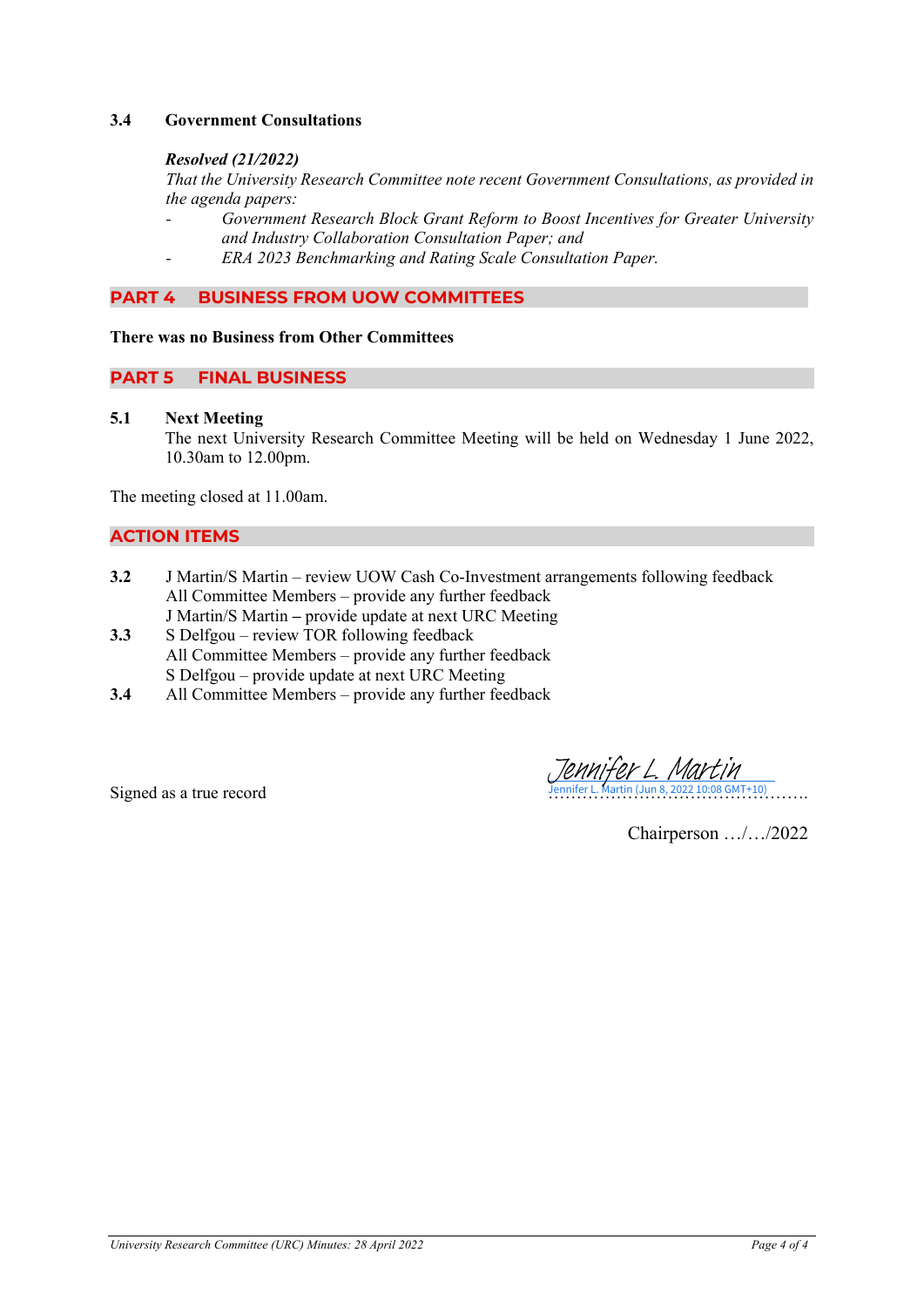# **3.4 Government Consultations**

#### *Resolved (21/2022)*

*That the University Research Committee note recent Government Consultations, as provided in the agenda papers:*

- *- Government Research Block Grant Reform to Boost Incentives for Greater University and Industry Collaboration Consultation Paper; and*
- *- ERA 2023 Benchmarking and Rating Scale Consultation Paper.*

# **PART 4 BUSINESS FROM UOW COMMITTEES**

#### **There was no Business from Other Committees**

# **PART 5 FINAL BUSINESS**

#### **5.1 Next Meeting**

The next University Research Committee Meeting will be held on Wednesday 1 June 2022, 10.30am to 12.00pm.

The meeting closed at 11.00am.

# **ACTION ITEMS**

- **3.2** J Martin/S Martin review UOW Cash Co-Investment arrangements following feedback All Committee Members – provide any further feedback J Martin/S Martin **–** provide update at next URC Meeting
- **3.3** S Delfgou review TOR following feedback All Committee Members – provide any further feedback S Delfgou – provide update at next URC Meeting
- **3.4** All Committee Members provide any further feedback

Signed as a true record  $\frac{\sqrt{Q}M\sqrt{f}Q\gamma L}{\sqrt{Q}M\sqrt{f}Q\gamma L} \frac{M\sqrt{f}M}{\sqrt{Q}M\sqrt{f}M}$ 

Chairperson …/…/2022